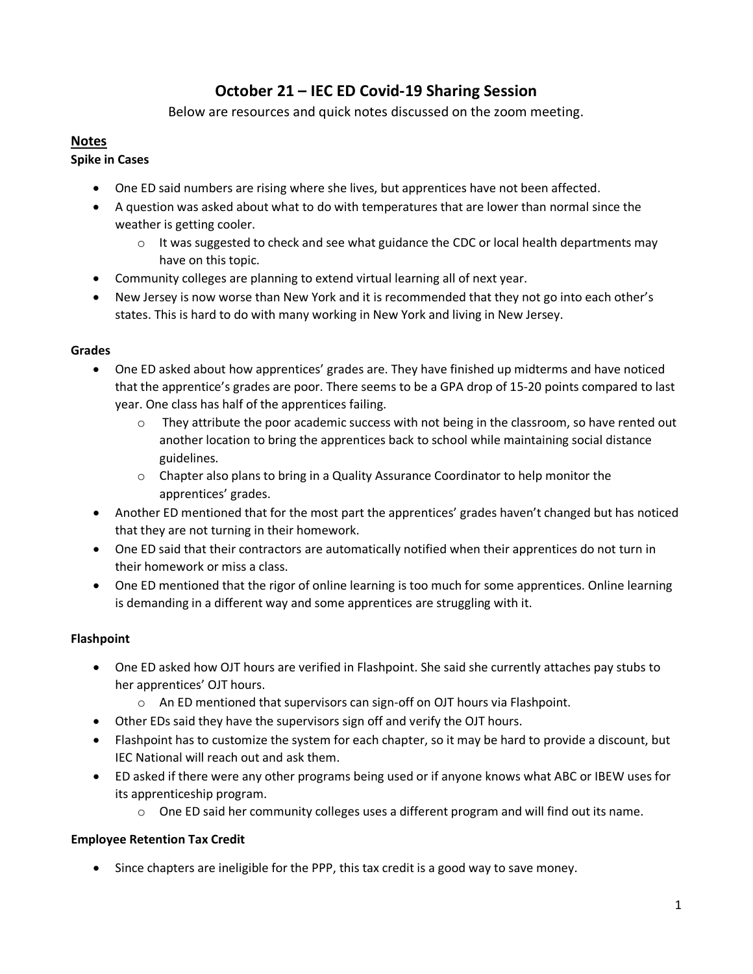# **October 21 – IEC ED Covid-19 Sharing Session**

Below are resources and quick notes discussed on the zoom meeting.

## **Notes**

## **Spike in Cases**

- One ED said numbers are rising where she lives, but apprentices have not been affected.
- A question was asked about what to do with temperatures that are lower than normal since the weather is getting cooler.
	- $\circ$  It was suggested to check and see what guidance the CDC or local health departments may have on this topic.
- Community colleges are planning to extend virtual learning all of next year.
- New Jersey is now worse than New York and it is recommended that they not go into each other's states. This is hard to do with many working in New York and living in New Jersey.

### **Grades**

- One ED asked about how apprentices' grades are. They have finished up midterms and have noticed that the apprentice's grades are poor. There seems to be a GPA drop of 15-20 points compared to last year. One class has half of the apprentices failing.
	- $\circ$  They attribute the poor academic success with not being in the classroom, so have rented out another location to bring the apprentices back to school while maintaining social distance guidelines.
	- $\circ$  Chapter also plans to bring in a Quality Assurance Coordinator to help monitor the apprentices' grades.
- Another ED mentioned that for the most part the apprentices' grades haven't changed but has noticed that they are not turning in their homework.
- One ED said that their contractors are automatically notified when their apprentices do not turn in their homework or miss a class.
- One ED mentioned that the rigor of online learning is too much for some apprentices. Online learning is demanding in a different way and some apprentices are struggling with it.

## **Flashpoint**

- One ED asked how OJT hours are verified in Flashpoint. She said she currently attaches pay stubs to her apprentices' OJT hours.
	- o An ED mentioned that supervisors can sign-off on OJT hours via Flashpoint.
- Other EDs said they have the supervisors sign off and verify the OJT hours.
- Flashpoint has to customize the system for each chapter, so it may be hard to provide a discount, but IEC National will reach out and ask them.
- ED asked if there were any other programs being used or if anyone knows what ABC or IBEW uses for its apprenticeship program.
	- $\circ$  One ED said her community colleges uses a different program and will find out its name.

## **Employee Retention Tax Credit**

• Since chapters are ineligible for the PPP, this tax credit is a good way to save money.